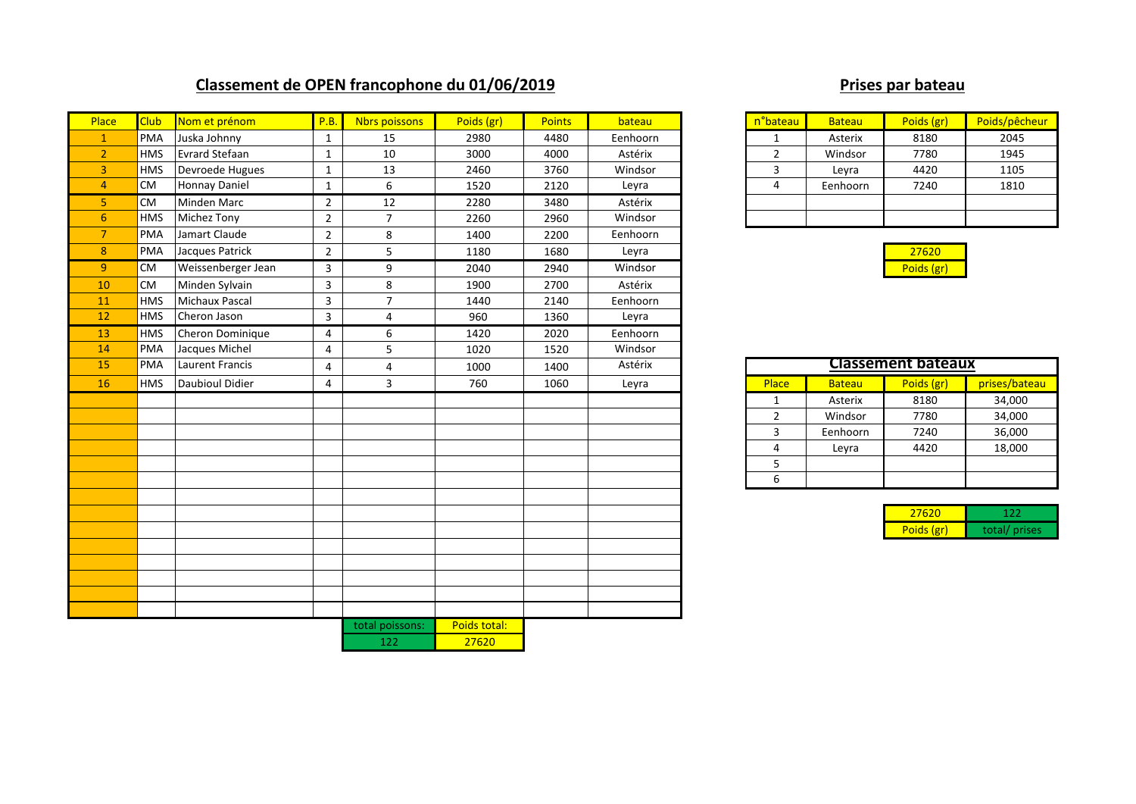## **Classement de OPEN francophone du 01/06/2019 Prises par bateau**

| Place          | <b>Club</b> | Nom et prénom          | P.B.           | Nbrs poissons   | Poids (gr)   | <b>Points</b> | bateau   | n <sup>o</sup> bateau   | <b>Bateau</b> | Poids (gr)                | Poids/pêcheur |
|----------------|-------------|------------------------|----------------|-----------------|--------------|---------------|----------|-------------------------|---------------|---------------------------|---------------|
| $\mathbf{1}$   | <b>PMA</b>  | Juska Johnny           | $\mathbf{1}$   | 15              | 2980         | 4480          | Eenhoorn | $\mathbf{1}$            | Asterix       | 8180                      | 2045          |
| 2 <sup>1</sup> | <b>HMS</b>  | Evrard Stefaan         | $\mathbf{1}$   | 10              | 3000         | 4000          | Astérix  | $\mathbf 2$             | Windsor       | 7780                      | 1945          |
| 3              | <b>HMS</b>  | Devroede Hugues        | $\mathbf{1}$   | 13              | 2460         | 3760          | Windsor  | $\overline{3}$          | Leyra         | 4420                      | 1105          |
| $\overline{4}$ | <b>CM</b>   | Honnay Daniel          | $\mathbf{1}$   | 6               | 1520         | 2120          | Leyra    | $\overline{4}$          | Eenhoorn      | 7240                      | 1810          |
| 5 <sup>1</sup> | <b>CM</b>   | Minden Marc            | $\overline{2}$ | 12              | 2280         | 3480          | Astérix  |                         |               |                           |               |
| 6 <sup>1</sup> | <b>HMS</b>  | Michez Tony            | $\overline{2}$ | $\overline{7}$  | 2260         | 2960          | Windsor  |                         |               |                           |               |
| 7 <sup>1</sup> | <b>PMA</b>  | Jamart Claude          | $\overline{2}$ | 8               | 1400         | 2200          | Eenhoorn |                         |               |                           |               |
| 8              | <b>PMA</b>  | Jacques Patrick        | $\overline{2}$ | 5               | 1180         | 1680          | Leyra    |                         |               | 27620                     |               |
| 9 <sup>°</sup> | <b>CM</b>   | Weissenberger Jean     | $\mathbf{3}$   | 9               | 2040         | 2940          | Windsor  |                         |               | Poids (gr)                |               |
| 10             | <b>CM</b>   | Minden Sylvain         | $\overline{3}$ | 8               | 1900         | 2700          | Astérix  |                         |               |                           |               |
| 11             | <b>HMS</b>  | Michaux Pascal         | 3              | $\overline{7}$  | 1440         | 2140          | Eenhoorn |                         |               |                           |               |
| 12             | <b>HMS</b>  | Cheron Jason           | $\overline{3}$ | $\sqrt{4}$      | 960          | 1360          | Leyra    |                         |               |                           |               |
| 13             | <b>HMS</b>  | Cheron Dominique       | $\overline{4}$ | 6               | 1420         | 2020          | Eenhoorn |                         |               |                           |               |
| 14             | <b>PMA</b>  | Jacques Michel         | $\overline{4}$ | 5               | 1020         | 1520          | Windsor  |                         |               |                           |               |
| 15             | <b>PMA</b>  | Laurent Francis        | $\overline{4}$ | 4               | 1000         | 1400          | Astérix  |                         |               | <b>Classement bateaux</b> |               |
| 16             | <b>HMS</b>  | <b>Daubioul Didier</b> | 4              | 3               | 760          | 1060          | Leyra    | Place                   | <b>Bateau</b> | Poids (gr)                | prises/bateau |
|                |             |                        |                |                 |              |               |          | $\mathbf{1}$            | Asterix       | 8180                      | 34,000        |
|                |             |                        |                |                 |              |               |          | $\overline{2}$          | Windsor       | 7780                      | 34,000        |
|                |             |                        |                |                 |              |               |          | $\overline{3}$          | Eenhoorn      | 7240                      | 36,000        |
|                |             |                        |                |                 |              |               |          | $\overline{\mathbf{4}}$ | Leyra         | 4420                      | 18,000        |
|                |             |                        |                |                 |              |               |          | 5                       |               |                           |               |
|                |             |                        |                |                 |              |               |          | $\overline{6}$          |               |                           |               |
|                |             |                        |                |                 |              |               |          |                         |               |                           |               |
|                |             |                        |                |                 |              |               |          |                         |               | 27620                     | 122           |
|                |             |                        |                |                 |              |               |          |                         |               | Poids (gr)                | total/prises  |
|                |             |                        |                |                 |              |               |          |                         |               |                           |               |
|                |             |                        |                |                 |              |               |          |                         |               |                           |               |
|                |             |                        |                |                 |              |               |          |                         |               |                           |               |
|                |             |                        |                |                 |              |               |          |                         |               |                           |               |
|                |             |                        |                |                 |              |               |          |                         |               |                           |               |
|                |             |                        |                | total poissons: | Poids total: |               |          |                         |               |                           |               |
|                |             |                        |                | 122             | 27620        |               |          |                         |               |                           |               |

| n <sup>o</sup> bateau | <b>Bateau</b> | Poids (gr) | Poids/pêcheur |  |  |
|-----------------------|---------------|------------|---------------|--|--|
|                       | Asterix       | 8180       | 2045          |  |  |
|                       | Windsor       | 7780       | 1945          |  |  |
|                       | Leyra         | 4420       | 1105          |  |  |
|                       | Eenhoorn      | 7240       | 1810          |  |  |
|                       |               |            |               |  |  |
|                       |               |            |               |  |  |



| <b>Classement bateaux</b> |               |            |               |  |  |  |
|---------------------------|---------------|------------|---------------|--|--|--|
| Place                     | <b>Bateau</b> | Poids (gr) | prises/bateau |  |  |  |
|                           | Asterix       | 8180       | 34,000        |  |  |  |
| 2                         | Windsor       | 7780       | 34,000        |  |  |  |
| 3                         | Eenhoorn      | 7240       | 36,000        |  |  |  |
|                           | Leyra         | 4420       | 18,000        |  |  |  |
|                           |               |            |               |  |  |  |
|                           |               |            |               |  |  |  |

| 7762O      |              |
|------------|--------------|
| Poids (gr) | total/prises |